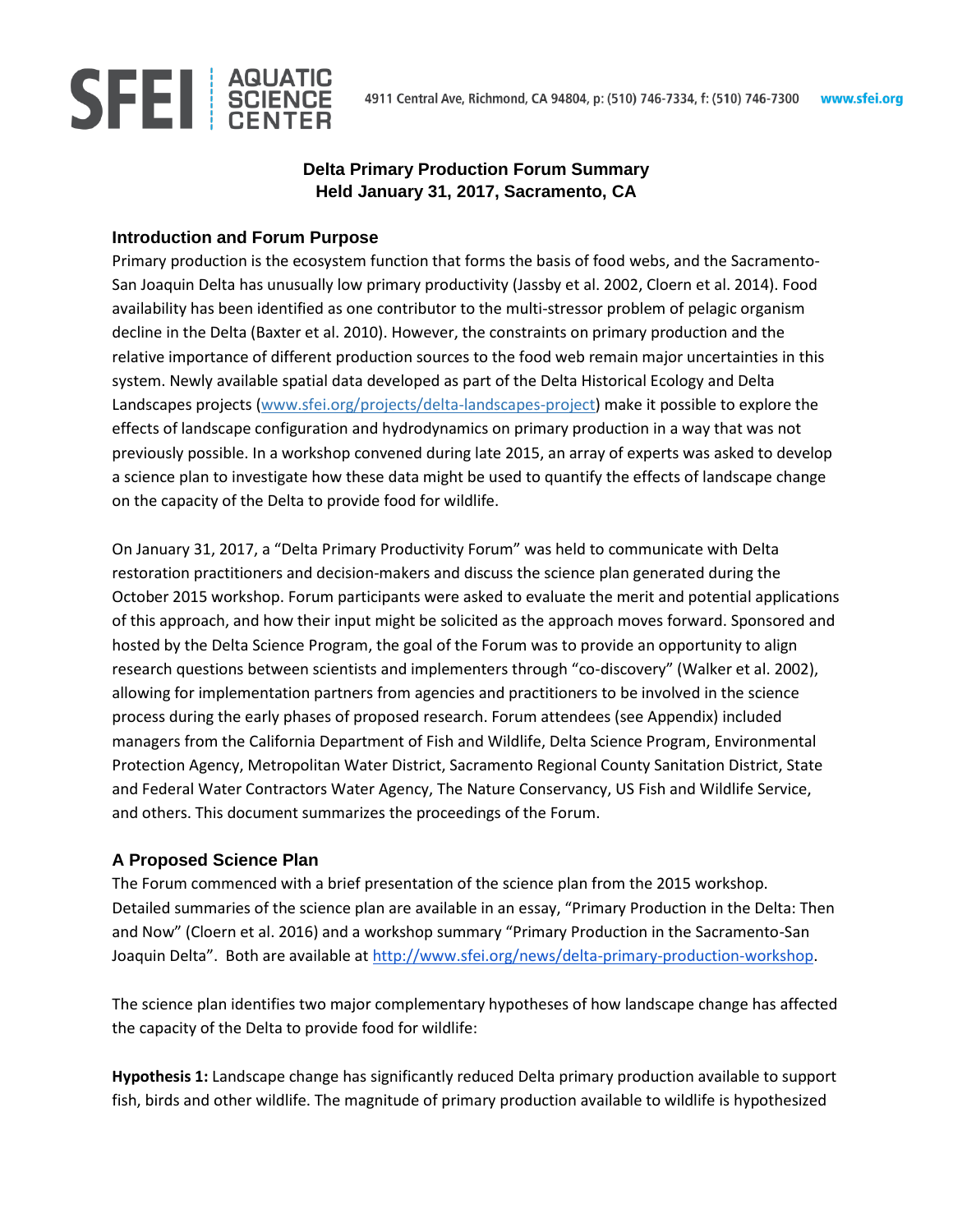

# **Delta Primary Production Forum Summary Held January 31, 2017, Sacramento, CA**

### **Introduction and Forum Purpose**

Primary production is the ecosystem function that forms the basis of food webs, and the Sacramento-San Joaquin Delta has unusually low primary productivity (Jassby et al. 2002, Cloern et al. 2014). Food availability has been identified as one contributor to the multi-stressor problem of pelagic organism decline in the Delta (Baxter et al. 2010). However, the constraints on primary production and the relative importance of different production sources to the food web remain major uncertainties in this system. Newly available spatial data developed as part of the Delta Historical Ecology and Delta Landscapes projects (www.sfei.org/projects/delta-landscapes-project) make it possible to explore the effects of landscape configuration and hydrodynamics on primary production in a way that was not previously possible. In a workshop convened during late 2015, an array of experts was asked to develop a science plan to investigate how these data might be used to quantify the effects of landscape change on the capacity of the Delta to provide food for wildlife.

On January 31, 2017, a "Delta Primary Productivity Forum" was held to communicate with Delta restoration practitioners and decision-makers and discuss the science plan generated during the October 2015 workshop. Forum participants were asked to evaluate the merit and potential applications of this approach, and how their input might be solicited as the approach moves forward. Sponsored and hosted by the Delta Science Program, the goal of the Forum was to provide an opportunity to align research questions between scientists and implementers through "co-discovery" (Walker et al. 2002), allowing for implementation partners from agencies and practitioners to be involved in the science process during the early phases of proposed research. Forum attendees (see Appendix) included managers from the California Department of Fish and Wildlife, Delta Science Program, Environmental Protection Agency, Metropolitan Water District, Sacramento Regional County Sanitation District, State and Federal Water Contractors Water Agency, The Nature Conservancy, US Fish and Wildlife Service, and others. This document summarizes the proceedings of the Forum.

### **A Proposed Science Plan**

The Forum commenced with a brief presentation of the science plan from the 2015 workshop. Detailed summaries of the science plan are available in an essay, "Primary Production in the Delta: Then and Now" (Cloern et al. 2016) and a workshop summary "Primary Production in the Sacramento-San Joaquin Delta". Both are available at [http://www.sfei.org/news/delta-primary-production-workshop.](http://www.sfei.org/news/delta-primary-production-workshop)

The science plan identifies two major complementary hypotheses of how landscape change has affected the capacity of the Delta to provide food for wildlife:

**Hypothesis 1:** Landscape change has significantly reduced Delta primary production available to support fish, birds and other wildlife. The magnitude of primary production available to wildlife is hypothesized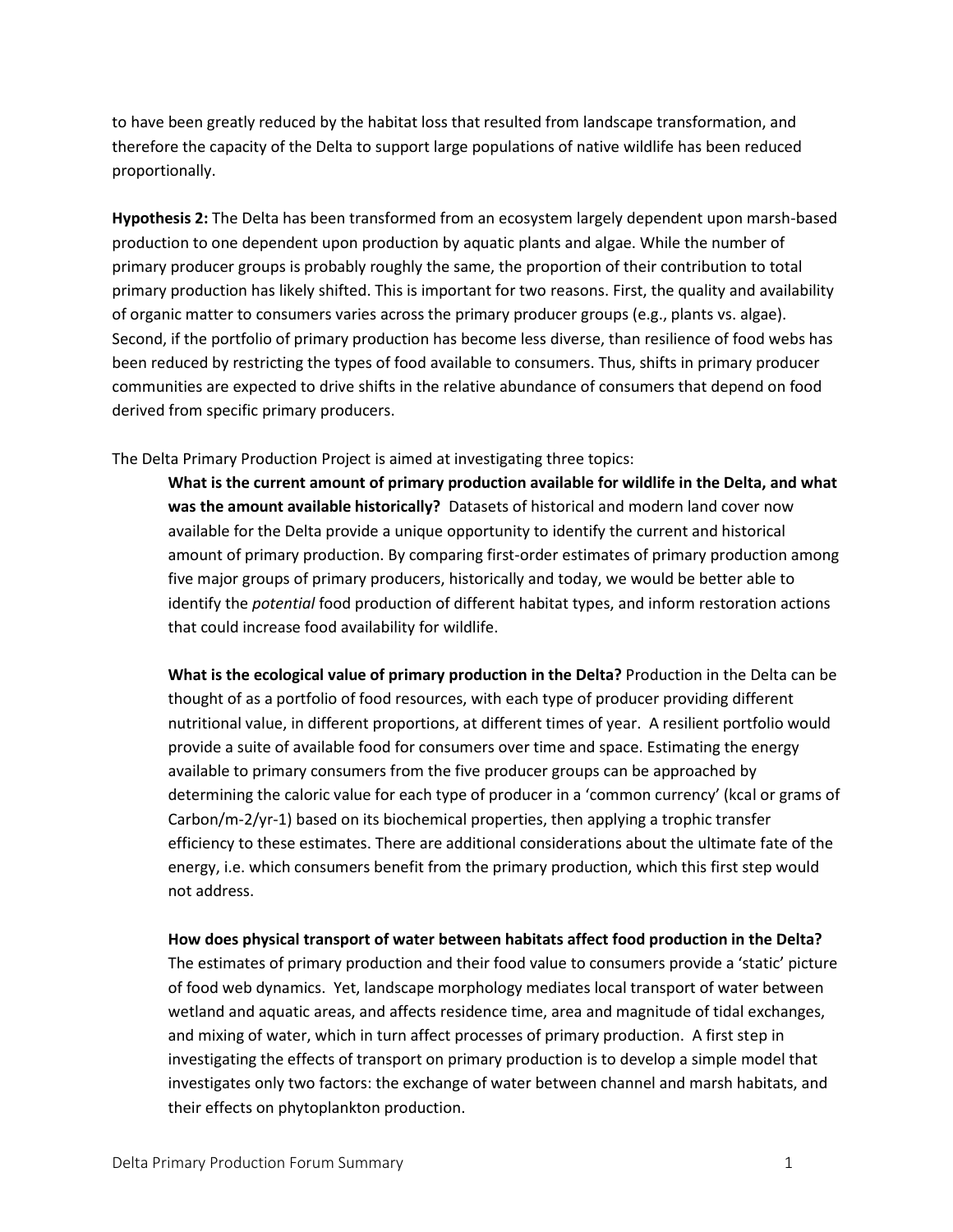to have been greatly reduced by the habitat loss that resulted from landscape transformation, and therefore the capacity of the Delta to support large populations of native wildlife has been reduced proportionally.

**Hypothesis 2:** The Delta has been transformed from an ecosystem largely dependent upon marsh-based production to one dependent upon production by aquatic plants and algae. While the number of primary producer groups is probably roughly the same, the proportion of their contribution to total primary production has likely shifted. This is important for two reasons. First, the quality and availability of organic matter to consumers varies across the primary producer groups (e.g., plants vs. algae). Second, if the portfolio of primary production has become less diverse, than resilience of food webs has been reduced by restricting the types of food available to consumers. Thus, shifts in primary producer communities are expected to drive shifts in the relative abundance of consumers that depend on food derived from specific primary producers.

The Delta Primary Production Project is aimed at investigating three topics:

**What is the current amount of primary production available for wildlife in the Delta, and what was the amount available historically?** Datasets of historical and modern land cover now available for the Delta provide a unique opportunity to identify the current and historical amount of primary production. By comparing first-order estimates of primary production among five major groups of primary producers, historically and today, we would be better able to identify the *potential* food production of different habitat types, and inform restoration actions that could increase food availability for wildlife.

**What is the ecological value of primary production in the Delta?** Production in the Delta can be thought of as a portfolio of food resources, with each type of producer providing different nutritional value, in different proportions, at different times of year. A resilient portfolio would provide a suite of available food for consumers over time and space. Estimating the energy available to primary consumers from the five producer groups can be approached by determining the caloric value for each type of producer in a 'common currency' (kcal or grams of Carbon/m-2/yr-1) based on its biochemical properties, then applying a trophic transfer efficiency to these estimates. There are additional considerations about the ultimate fate of the energy, i.e. which consumers benefit from the primary production, which this first step would not address.

**How does physical transport of water between habitats affect food production in the Delta?**  The estimates of primary production and their food value to consumers provide a 'static' picture of food web dynamics. Yet, landscape morphology mediates local transport of water between wetland and aquatic areas, and affects residence time, area and magnitude of tidal exchanges, and mixing of water, which in turn affect processes of primary production. A first step in investigating the effects of transport on primary production is to develop a simple model that investigates only two factors: the exchange of water between channel and marsh habitats, and their effects on phytoplankton production.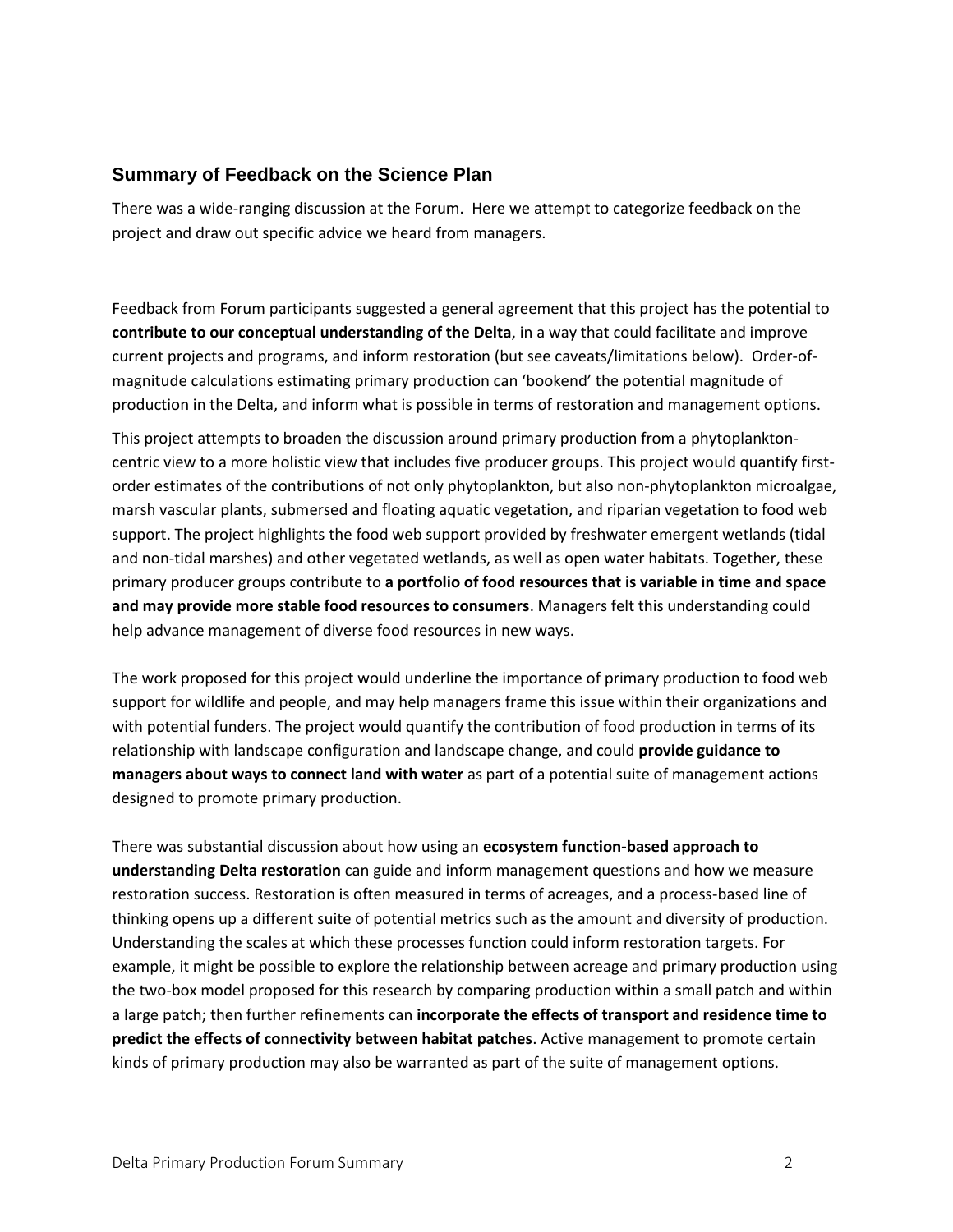## **Summary of Feedback on the Science Plan**

There was a wide-ranging discussion at the Forum. Here we attempt to categorize feedback on the project and draw out specific advice we heard from managers.

Feedback from Forum participants suggested a general agreement that this project has the potential to **contribute to our conceptual understanding of the Delta**, in a way that could facilitate and improve current projects and programs, and inform restoration (but see caveats/limitations below). Order-ofmagnitude calculations estimating primary production can 'bookend' the potential magnitude of production in the Delta, and inform what is possible in terms of restoration and management options.

This project attempts to broaden the discussion around primary production from a phytoplanktoncentric view to a more holistic view that includes five producer groups. This project would quantify firstorder estimates of the contributions of not only phytoplankton, but also non-phytoplankton microalgae, marsh vascular plants, submersed and floating aquatic vegetation, and riparian vegetation to food web support. The project highlights the food web support provided by freshwater emergent wetlands (tidal and non-tidal marshes) and other vegetated wetlands, as well as open water habitats. Together, these primary producer groups contribute to **a portfolio of food resources that is variable in time and space and may provide more stable food resources to consumers**. Managers felt this understanding could help advance management of diverse food resources in new ways.

The work proposed for this project would underline the importance of primary production to food web support for wildlife and people, and may help managers frame this issue within their organizations and with potential funders. The project would quantify the contribution of food production in terms of its relationship with landscape configuration and landscape change, and could **provide guidance to managers about ways to connect land with water** as part of a potential suite of management actions designed to promote primary production.

There was substantial discussion about how using an **ecosystem function-based approach to understanding Delta restoration** can guide and inform management questions and how we measure restoration success. Restoration is often measured in terms of acreages, and a process-based line of thinking opens up a different suite of potential metrics such as the amount and diversity of production. Understanding the scales at which these processes function could inform restoration targets. For example, it might be possible to explore the relationship between acreage and primary production using the two-box model proposed for this research by comparing production within a small patch and within a large patch; then further refinements can **incorporate the effects of transport and residence time to predict the effects of connectivity between habitat patches**. Active management to promote certain kinds of primary production may also be warranted as part of the suite of management options.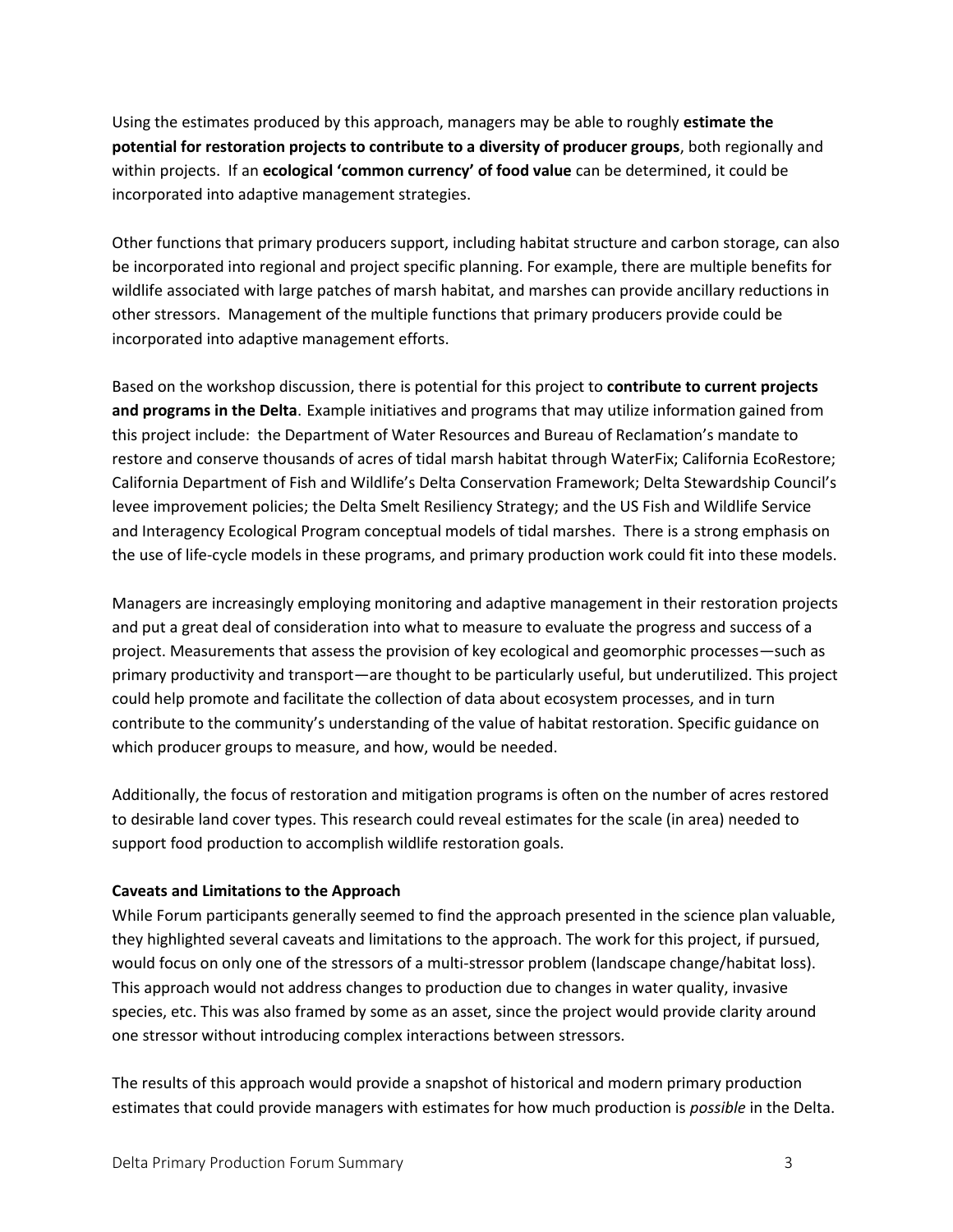Using the estimates produced by this approach, managers may be able to roughly **estimate the potential for restoration projects to contribute to a diversity of producer groups**, both regionally and within projects. If an **ecological 'common currency' of food value** can be determined, it could be incorporated into adaptive management strategies.

Other functions that primary producers support, including habitat structure and carbon storage, can also be incorporated into regional and project specific planning. For example, there are multiple benefits for wildlife associated with large patches of marsh habitat, and marshes can provide ancillary reductions in other stressors. Management of the multiple functions that primary producers provide could be incorporated into adaptive management efforts.

Based on the workshop discussion, there is potential for this project to **contribute to current projects and programs in the Delta**. Example initiatives and programs that may utilize information gained from this project include: the Department of Water Resources and Bureau of Reclamation's mandate to restore and conserve thousands of acres of tidal marsh habitat through WaterFix; California EcoRestore; California Department of Fish and Wildlife's Delta Conservation Framework; Delta Stewardship Council's levee improvement policies; the Delta Smelt Resiliency Strategy; and the US Fish and Wildlife Service and Interagency Ecological Program conceptual models of tidal marshes. There is a strong emphasis on the use of life-cycle models in these programs, and primary production work could fit into these models.

Managers are increasingly employing monitoring and adaptive management in their restoration projects and put a great deal of consideration into what to measure to evaluate the progress and success of a project. Measurements that assess the provision of key ecological and geomorphic processes—such as primary productivity and transport—are thought to be particularly useful, but underutilized. This project could help promote and facilitate the collection of data about ecosystem processes, and in turn contribute to the community's understanding of the value of habitat restoration. Specific guidance on which producer groups to measure, and how, would be needed.

Additionally, the focus of restoration and mitigation programs is often on the number of acres restored to desirable land cover types. This research could reveal estimates for the scale (in area) needed to support food production to accomplish wildlife restoration goals.

#### **Caveats and Limitations to the Approach**

While Forum participants generally seemed to find the approach presented in the science plan valuable, they highlighted several caveats and limitations to the approach. The work for this project, if pursued, would focus on only one of the stressors of a multi-stressor problem (landscape change/habitat loss). This approach would not address changes to production due to changes in water quality, invasive species, etc. This was also framed by some as an asset, since the project would provide clarity around one stressor without introducing complex interactions between stressors.

The results of this approach would provide a snapshot of historical and modern primary production estimates that could provide managers with estimates for how much production is *possible* in the Delta.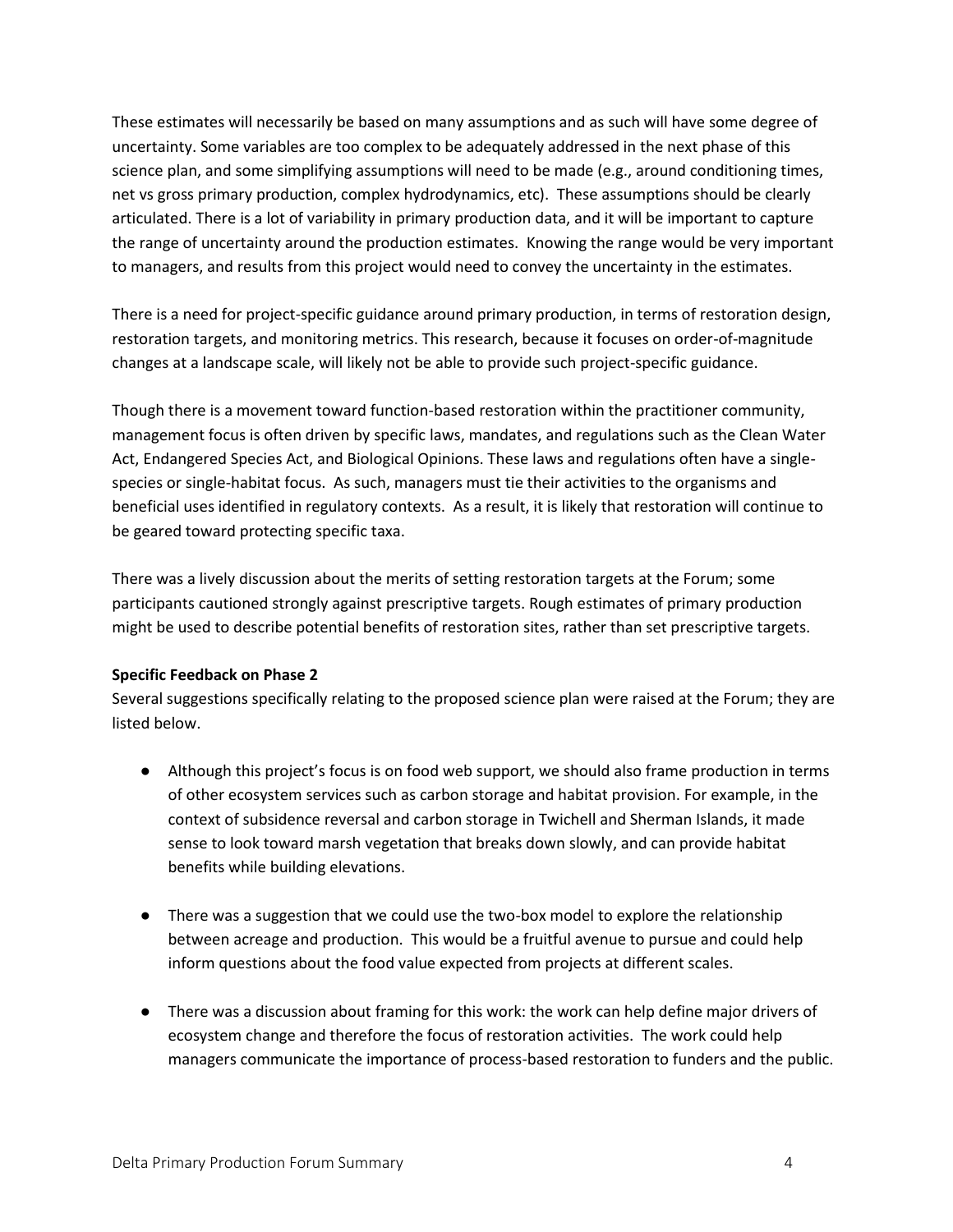These estimates will necessarily be based on many assumptions and as such will have some degree of uncertainty. Some variables are too complex to be adequately addressed in the next phase of this science plan, and some simplifying assumptions will need to be made (e.g., around conditioning times, net vs gross primary production, complex hydrodynamics, etc). These assumptions should be clearly articulated. There is a lot of variability in primary production data, and it will be important to capture the range of uncertainty around the production estimates. Knowing the range would be very important to managers, and results from this project would need to convey the uncertainty in the estimates.

There is a need for project-specific guidance around primary production, in terms of restoration design, restoration targets, and monitoring metrics. This research, because it focuses on order-of-magnitude changes at a landscape scale, will likely not be able to provide such project-specific guidance.

Though there is a movement toward function-based restoration within the practitioner community, management focus is often driven by specific laws, mandates, and regulations such as the Clean Water Act, Endangered Species Act, and Biological Opinions. These laws and regulations often have a singlespecies or single-habitat focus. As such, managers must tie their activities to the organisms and beneficial uses identified in regulatory contexts. As a result, it is likely that restoration will continue to be geared toward protecting specific taxa.

There was a lively discussion about the merits of setting restoration targets at the Forum; some participants cautioned strongly against prescriptive targets. Rough estimates of primary production might be used to describe potential benefits of restoration sites, rather than set prescriptive targets.

#### **Specific Feedback on Phase 2**

Several suggestions specifically relating to the proposed science plan were raised at the Forum; they are listed below.

- Although this project's focus is on food web support, we should also frame production in terms of other ecosystem services such as carbon storage and habitat provision. For example, in the context of subsidence reversal and carbon storage in Twichell and Sherman Islands, it made sense to look toward marsh vegetation that breaks down slowly, and can provide habitat benefits while building elevations.
- There was a suggestion that we could use the two-box model to explore the relationship between acreage and production. This would be a fruitful avenue to pursue and could help inform questions about the food value expected from projects at different scales.
- There was a discussion about framing for this work: the work can help define major drivers of ecosystem change and therefore the focus of restoration activities. The work could help managers communicate the importance of process-based restoration to funders and the public.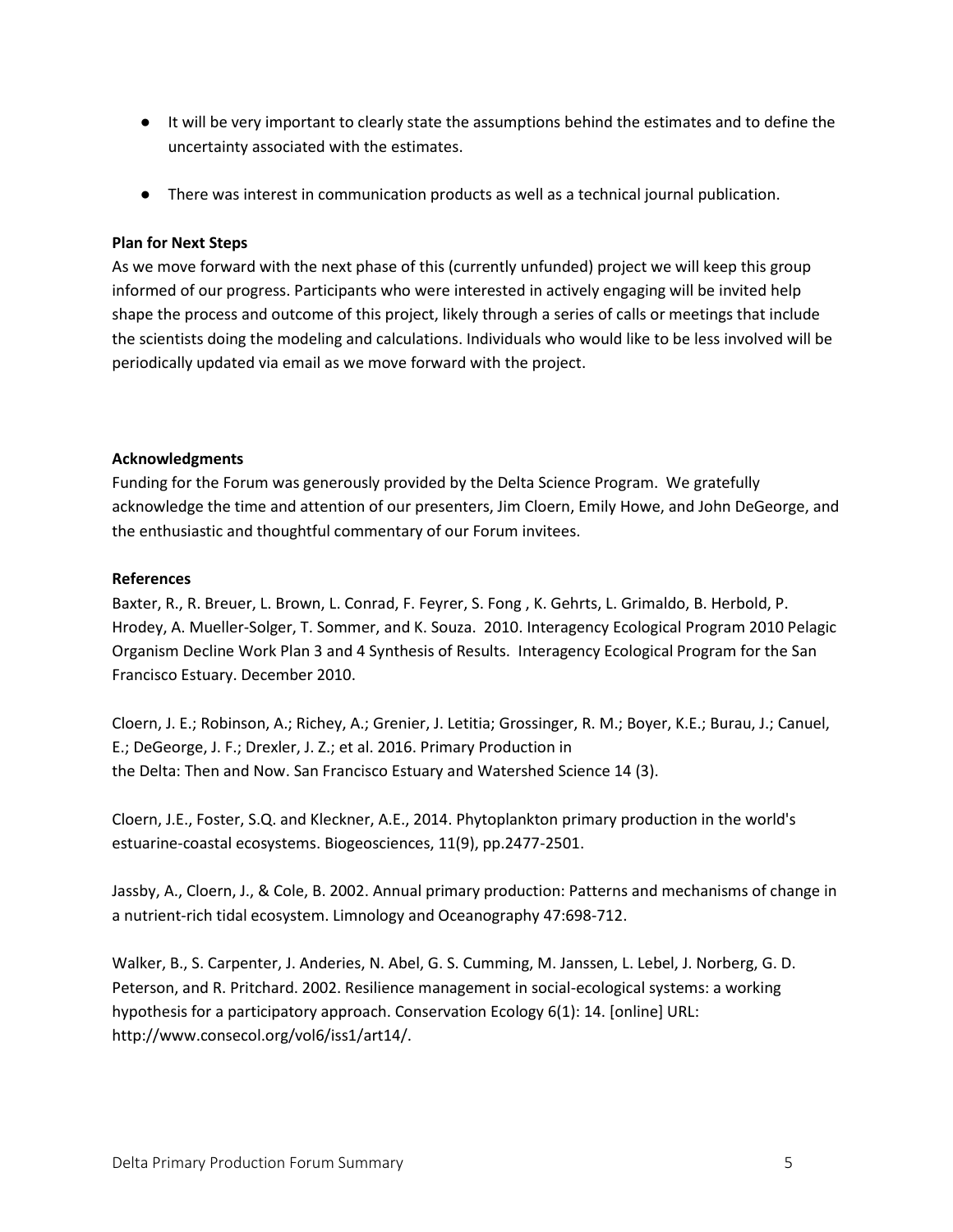- It will be very important to clearly state the assumptions behind the estimates and to define the uncertainty associated with the estimates.
- There was interest in communication products as well as a technical journal publication.

#### **Plan for Next Steps**

As we move forward with the next phase of this (currently unfunded) project we will keep this group informed of our progress. Participants who were interested in actively engaging will be invited help shape the process and outcome of this project, likely through a series of calls or meetings that include the scientists doing the modeling and calculations. Individuals who would like to be less involved will be periodically updated via email as we move forward with the project.

#### **Acknowledgments**

Funding for the Forum was generously provided by the Delta Science Program. We gratefully acknowledge the time and attention of our presenters, Jim Cloern, Emily Howe, and John DeGeorge, and the enthusiastic and thoughtful commentary of our Forum invitees.

#### **References**

Baxter, R., R. Breuer, L. Brown, L. Conrad, F. Feyrer, S. Fong , K. Gehrts, L. Grimaldo, B. Herbold, P. Hrodey, A. Mueller-Solger, T. Sommer, and K. Souza. 2010. Interagency Ecological Program 2010 Pelagic Organism Decline Work Plan 3 and 4 Synthesis of Results. Interagency Ecological Program for the San Francisco Estuary. December 2010.

[Cloern, J. E.;](http://www.sfei.org/biblio/author/212%3Fsort%3Dyear%26order%3Dasc?f%5bauthor%5d=1874) [Robinson, A.;](http://www.sfei.org/user/113/biblio) [Richey, A.](http://www.sfei.org/biblio/author/212%3Fsort%3Dyear%26order%3Dasc?f%5bauthor%5d=2194)[;](http://www.sfei.org/user/71/biblio) [Grenier, J. Letitia](http://www.sfei.org/user/71/biblio)[;](http://www.sfei.org/biblio/author/212%3Fsort%3Dyear%26order%3Dasc?f%5bauthor%5d=1031) [Grossinger, R. M.;](http://www.sfei.org/biblio/author/212%3Fsort%3Dyear%26order%3Dasc?f%5bauthor%5d=1031) [Boyer, K.E.](http://www.sfei.org/biblio/author/212%3Fsort%3Dyear%26order%3Dasc?f%5bauthor%5d=2195)[;](http://www.sfei.org/biblio/author/212%3Fsort%3Dyear%26order%3Dasc?f%5bauthor%5d=2196) [Burau, J.](http://www.sfei.org/biblio/author/212%3Fsort%3Dyear%26order%3Dasc?f%5bauthor%5d=2196)[;](http://www.sfei.org/biblio/author/212%3Fsort%3Dyear%26order%3Dasc?f%5bauthor%5d=2197) [Canuel,](http://www.sfei.org/biblio/author/212%3Fsort%3Dyear%26order%3Dasc?f%5bauthor%5d=2197)  [E.;](http://www.sfei.org/biblio/author/212%3Fsort%3Dyear%26order%3Dasc?f%5bauthor%5d=2197) [DeGeorge, J. F.;](http://www.sfei.org/biblio/author/212%3Fsort%3Dyear%26order%3Dasc?f%5bauthor%5d=2198) [Drexler, J. Z.;](http://www.sfei.org/biblio/author/212%3Fsort%3Dyear%26order%3Dasc?f%5bauthor%5d=2199) et al. 2016[.](http://www.sfei.org/documents/primary-production-delta-then-and-now) [Primary Production in](http://www.sfei.org/documents/primary-production-delta-then-and-now) [the Delta: Then and Now.](http://www.sfei.org/documents/primary-production-delta-then-and-now) San Francisco Estuary and Watershed Science 14 (3).

Cloern, J.E., Foster, S.Q. and Kleckner, A.E., 2014. Phytoplankton primary production in the world's estuarine-coastal ecosystems. Biogeosciences, 11(9), pp.2477-2501.

Jassby, A., Cloern, J., & Cole, B. 2002. Annual primary production: Patterns and mechanisms of change in a nutrient-rich tidal ecosystem. Limnology and Oceanography 47:698-712.

Walker, B., S. Carpenter, J. Anderies, N. Abel, G. S. Cumming, M. Janssen, L. Lebel, J. Norberg, G. D. Peterson, and R. Pritchard. 2002. Resilience management in social-ecological systems: a working hypothesis for a participatory approach. Conservation Ecology 6(1): 14. [online] URL: http://www.consecol.org/vol6/iss1/art14/.